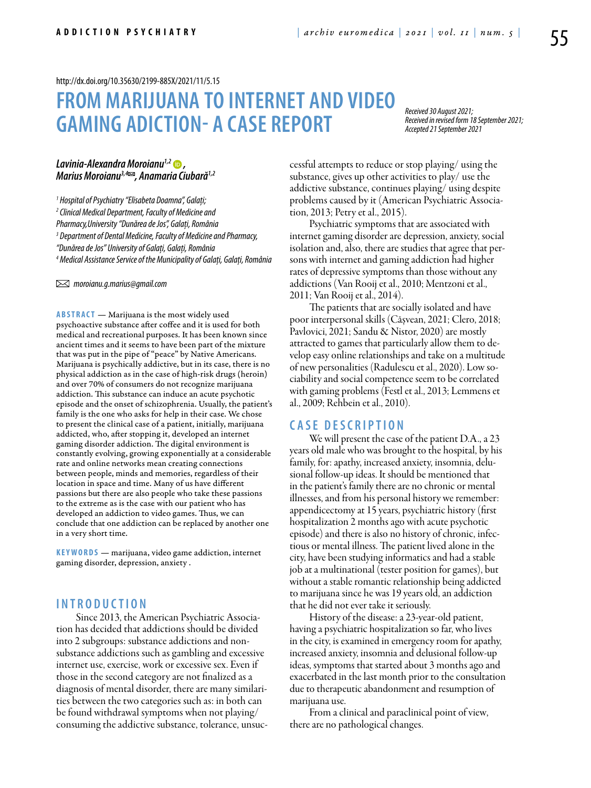#### <http://dx.doi.org/10.35630/2199-885X/2021/11/5.15>

# **FROM MARIJUANA TO INTERNET AND VIDEO GAMING ADICTION- A CASE REPORT**

*Received 30 August 2021; Received in revised form 18 September 2021; Accepted 21 September 2021*

## *[Lavinia-Alexandra Moroianu](https://orcid.org/0000-0001-9688-0580)1,2 , Marius Moroianu[3,4](https://orcid.org/0000-0001-9688-0580) , Anamaria Ciubară1,2*

*1 Hospital of Psychiatry "Elisabeta Doamna", Galați; 2 Clinical Medical Department, Faculty of Medicine and Pharmacy,University "Dunărea de Jos", Galați, România 3 Department of Dental Medicine, Faculty of Medicine and Pharmacy, "Dunărea de Jos" University of Galați, Galați, România 4 Medical Assistance Service of the Municipality of Galați, Galați, România* 

 *moroianu.g.marius@gmail.com* 

**ABSTRACT** — Marijuana is the most widely used psychoactive substance after coffee and it is used for both medical and recreational purposes. It has been known since ancient times and it seems to have been part of the mixture that was put in the pipe of "peace" by Native Americans. Marijuana is psychically addictive, but in its case, there is no physical addiction as in the case of high-risk drugs (heroin) and over 70% of consumers do not recognize marijuana addiction. This substance can induce an acute psychotic episode and the onset of schizophrenia. Usually, the patient's family is the one who asks for help in their case. We chose to present the clinical case of a patient, initially, marijuana addicted, who, after stopping it, developed an internet gaming disorder addiction. The digital environment is constantly evolving, growing exponentially at a considerable rate and online networks mean creating connections between people, minds and memories, regardless of their location in space and time. Many of us have different passions but there are also people who take these passions to the extreme as is the case with our patient who has developed an addiction to video games. Thus, we can conclude that one addiction can be replaced by another one in a very short time.

**KEYWORDS** — marijuana, video game addiction, internet gaming disorder, depression, anxiety .

## **INTROD U CTION**

Since 2013, the American Psychiatric Association has decided that addictions should be divided into 2 subgroups: substance addictions and nonsubstance addictions such as gambling and excessive internet use, exercise, work or excessive sex. Even if those in the second category are not finalized as a diagnosis of mental disorder, there are many similarities between the two categories such as: in both can be found withdrawal symptoms when not playing/ consuming the addictive substance, tolerance, unsuccessful attempts to reduce or stop playing/ using the substance, gives up other activities to play/ use the addictive substance, continues playing/ using despite problems caused by it (American Psychiatric Association, 2013; Petry et al., 2015).

Psychiatric symptoms that are associated with internet gaming disorder are depression, anxiety, social isolation and, also, there are studies that agree that persons with internet and gaming addiction had higher rates of depressive symptoms than those without any addictions (Van Rooij et al., 2010; Mentzoni et al., 2011; Van Rooij et al., 2014).

The patients that are socially isolated and have poor interpersonal skills (Cășvean, 2021; Clero, 2018; Pavlovici, 2021; Sandu & Nistor, 2020) are mostly attracted to games that particularly allow them to develop easy online relationships and take on a multitude of new personalities (Radulescu et al., 2020). Low sociability and social competence seem to be correlated with gaming problems (Festl et al., 2013; Lemmens et al., 2009; Rehbein et al., 2010).

## **C ASE DESC RI P TION**

We will present the case of the patient D.A., a 23 years old male who was brought to the hospital, by his family, for: apathy, increased anxiety, insomnia, delusional follow-up ideas. It should be mentioned that in the patient's family there are no chronic or mental illnesses, and from his personal history we remember: appendicectomy at 15 years, psychiatric history (first hospitalization 2 months ago with acute psychotic episode) and there is also no history of chronic, infectious or mental illness. The patient lived alone in the city, have been studying informatics and had a stable job at a multinational (tester position for games), but without a stable romantic relationship being addicted to marijuana since he was 19 years old, an addiction that he did not ever take it seriously.

History of the disease: a 23-year-old patient, having a psychiatric hospitalization so far, who lives in the city, is examined in emergency room for apathy, increased anxiety, insomnia and delusional follow-up ideas, symptoms that started about 3 months ago and exacerbated in the last month prior to the consultation due to therapeutic abandonment and resumption of marijuana use.

From a clinical and paraclinical point of view, there are no pathological changes.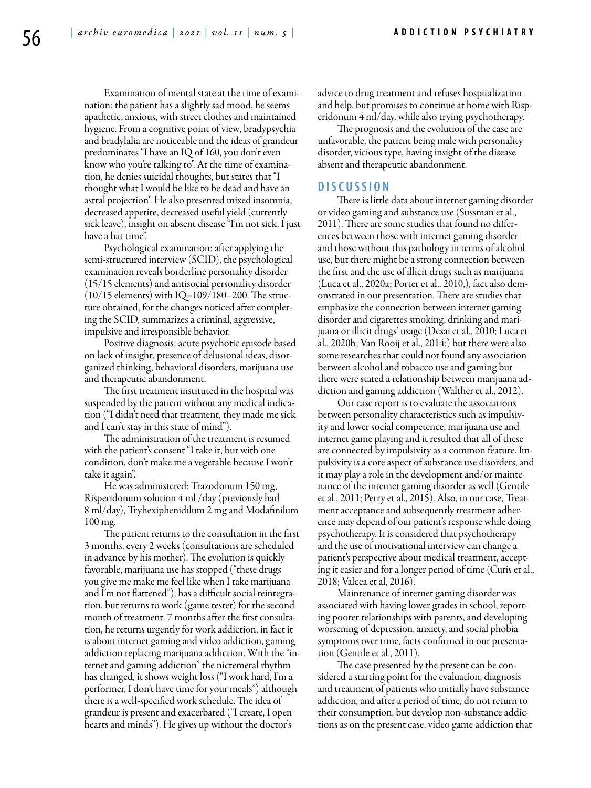Examination of mental state at the time of examination: the patient has a slightly sad mood, he seems apathetic, anxious, with street clothes and maintained hygiene. From a cognitive point of view, bradypsychia and bradylalia are noticeable and the ideas of grandeur predominates "I have an IQ of 160, you don't even know who you're talking to". At the time of examination, he denies suicidal thoughts, but states that "I thought what I would be like to be dead and have an astral projection". He also presented mixed insomnia, decreased appetite, decreased useful yield (currently sick leave), insight on absent disease "I'm not sick, I just have a bat time".

Psychological examination: after applying the semi-structured interview (SCID), the psychological examination reveals borderline personality disorder (15/15 elements) and antisocial personality disorder  $(10/15$  elements) with IQ=109/180–200. The structure obtained, for the changes noticed after completing the SCID, summarizes a criminal, aggressive, impulsive and irresponsible behavior.

Positive diagnosis: acute psychotic episode based on lack of insight, presence of delusional ideas, disorganized thinking, behavioral disorders, marijuana use and therapeutic abandonment.

The first treatment instituted in the hospital was suspended by the patient without any medical indication ("I didn't need that treatment, they made me sick and I can't stay in this state of mind").

The administration of the treatment is resumed with the patient's consent "I take it, but with one condition, don't make me a vegetable because I won't take it again".

He was administered: Trazodonum 150 mg, Risperidonum solution 4 ml /day (previously had 8 ml/day), Tryhexiphenidilum 2 mg and Modafinilum 100 mg.

The patient returns to the consultation in the first 3 months, every 2 weeks (consultations are scheduled in advance by his mother). The evolution is quickly favorable, marijuana use has stopped ("these drugs you give me make me feel like when I take marijuana and I'm not flattened"), has a difficult social reintegration, but returns to work (game tester) for the second month of treatment. 7 months after the first consultation, he returns urgently for work addiction, in fact it is about internet gaming and video addiction, gaming addiction replacing marijuana addiction. With the "internet and gaming addiction" the nictemeral rhythm has changed, it shows weight loss ("I work hard, I'm a performer, I don't have time for your meals") although there is a well-specified work schedule. The idea of grandeur is present and exacerbated ("I create, I open hearts and minds"). He gives up without the doctor's

advice to drug treatment and refuses hospitalization and help, but promises to continue at home with Risperidonum 4 ml/day, while also trying psychotherapy.

The prognosis and the evolution of the case are unfavorable, the patient being male with personality disorder, vicious type, having insight of the disease absent and therapeutic abandonment.

### **DISC U SSION**

There is little data about internet gaming disorder or video gaming and substance use (Sussman et al., 2011). There are some studies that found no differences between those with internet gaming disorder and those without this pathology in terms of alcohol use, but there might be a strong connection between the first and the use of illicit drugs such as marijuana (Luca et al., 2020a; Porter et al., 2010,), fact also demonstrated in our presentation. There are studies that emphasize the connection between internet gaming disorder and cigarettes smoking, drinking and marijuana or illicit drugs' usage (Desai et al., 2010; Luca et al., 2020b; Van Rooij et al., 2014;) but there were also some researches that could not found any association between alcohol and tobacco use and gaming but there were stated a relationship between marijuana addiction and gaming addiction (Walther et al., 2012).

Our case report is to evaluate the associations between personality characteristics such as impulsivity and lower social competence, marijuana use and internet game playing and it resulted that all of these are connected by impulsivity as a common feature. Impulsivity is a core aspect of substance use disorders, and it may play a role in the development and/or maintenance of the internet gaming disorder as well (Gentile et al., 2011; Petry et al., 2015). Also, in our case, Treatment acceptance and subsequently treatment adherence may depend of our patient's response while doing psychotherapy. It is considered that psychotherapy and the use of motivational interview can change a patient's perspective about medical treatment, accepting it easier and for a longer period of time (Curis et al., 2018; Valcea et al, 2016).

Maintenance of internet gaming disorder was associated with having lower grades in school, reporting poorer relationships with parents, and developing worsening of depression, anxiety, and social phobia symptoms over time, facts confirmed in our presentation (Gentile et al., 2011).

The case presented by the present can be considered a starting point for the evaluation, diagnosis and treatment of patients who initially have substance addiction, and after a period of time, do not return to their consumption, but develop non-substance addictions as on the present case, video game addiction that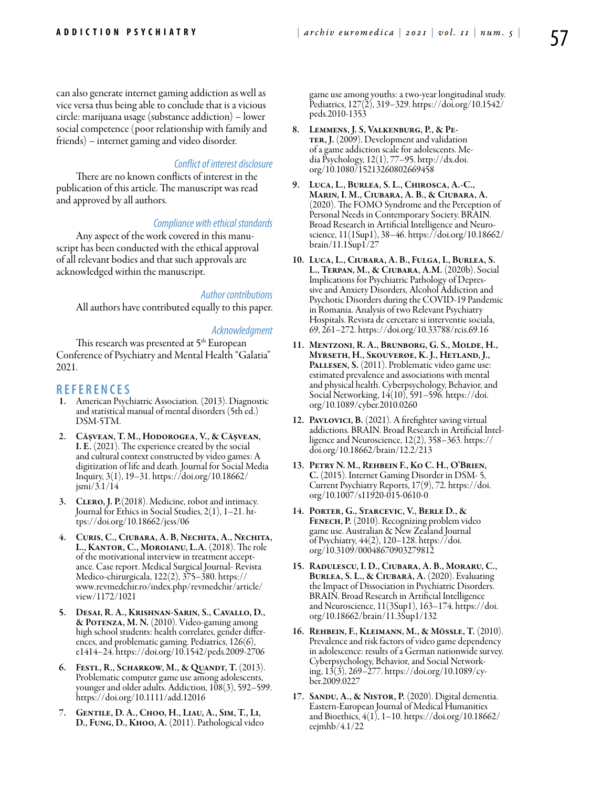can also generate internet gaming addiction as well as vice versa thus being able to conclude that is a vicious circle: marijuana usage (substance addiction) – lower social competence (poor relationship with family and friends) – internet gaming and video disorder.

### *Conflict of interest disclosure*

There are no known conflicts of interest in the publication of this article. The manuscript was read and approved by all authors.

#### *Compliance with ethical standards*

Any aspect of the work covered in this manuscript has been conducted with the ethical approval of all relevant bodies and that such approvals are acknowledged within the manuscript.

*Author contributions*

All authors have contributed equally to this paper.

#### *Acknowledgment*

This research was presented at 5<sup>th</sup> European Conference of Psychiatry and Mental Health "Galatia" 2021.

### **REFEREN CES**

- American Psychiatric Association. (2013). Diagnostic and statistical manual of mental disorders (5th ed.) DSM-5TM.
- 2. Cășvean, T. M., Hodorogea, V., & Cășvean, I. E. (2021). The experience created by the social and cultural context constructed by video games: A digitization of life and death. Journal for Social Media Inquiry, 3(1), 19–31. https://doi.org/10.18662/  $j$ smi/3.1/14
- 3. CLERO, J. P. (2018). Medicine, robot and intimacy. Journal for Ethics in Social Studies, 2(1), 1–21. ht- tps://doi.org/10.18662/jess/06
- 4. Curis, C., Ciubara, A. B, Nechita, A., Nechita, L., Kantor, C., Moroianu, L.A. (2018). The role of the motivational interview in treatment acceptance. Case report. Medical Surgical Journal- Revista Medico-chirurgicala, 122(2), 375–380. https:// www.revmedchir.ro/index.php/revmedchir/article/ view/1172/1021
- 5. Desai, R. A., Krishnan-Sarin, S., Cavallo, D., & Potenza, M. N. (2010). Video-gaming among high school students: health correlates, gender differences, and problematic gaming. Pediatrics, 126(6), e1414–24. https://doi.org/10.1542/peds.2009-2706
- 6. Festl, R., Scharkow, M., & Quandt, T. (2013). Problematic computer game use among adolescents, younger and older adults. Addiction, 108(3), 592–599. https://doi.org/10.1111/add.12016
- 7. Gentile, D. A., Choo, H., Liau, A., Sim, T., Li, D., Fung, D., Khoo, A. (2011). Pathological video

game use among youths: a two-year longitudinal study. Pediatrics, 127(2), 319–329. https://doi.org/10.1542/ peds.2010-1353

- 8. LEMMENS, J. S, VALKENBURG, P., & PE-<br>TER, J. (2009). Development and validation of a game addiction scale for adolescents. Me- dia Psychology, 12(1), 77–95. http://dx.doi. org/10.1080/15213260802669458
- 9. Luca, L., Burlea, S. L., Chirosca, A.-C., Marin, I. M., Ciubara, A. B., & Ciubara, A. (2020). The FOMO Syndrome and the Perception of Personal Needs in Contemporary Society. BRAIN. Broad Research in Artificial Intelligence and Neuroscience, 11(1Sup1), 38–46. https://doi.org/10.18662/ brain/11.1Sup1/27
- 10. Luca, L., Ciubara, A. B., Fulga, I., Burlea, S. L., Terpan, M., & Ciubara, A.M. (2020b). Social Implications for Psychiatric Pathology of Depressive and Anxiety Disorders, Alcohol Addiction and Psychotic Disorders during the COVID-19 Pandemic in Romania. Analysis of two Relevant Psychiatry Hospitals. Revista de cercetare si interventie sociala, 69, 261–272. https://doi.org/10.33788/rcis.69.16
- 11. Mentzoni, R. A., Brunborg, G. S., Molde, H., Myrseth, H., Skouverøe, K. J., Hetland, J., PALLESEN, S. (2011). Problematic video game use: estimated prevalence and associations with mental and physical health. Cyberpsychology, Behavior, and Social Networking, 14(10), 591–596. https://doi. org/10.1089/cyber.2010.0260
- 12. PAVLOVICI, B. (2021). A firefighter saving virtual addictions. BRAIN. Broad Research in Artificial Intelligence and Neuroscience, 12(2), 358–363. https:// doi.org/10.18662/brain/12.2/213
- 13. Petry N. M., Rehbein F., Ko C. H., O'Brien, C. (2015). Internet Gaming Disorder in DSM- 5, Current Psychiatry Reports, 17(9), 72. https://doi. org/10.1007/s11920-015-0610-0
- 14. Porter, G., Starcevic, V., Berle D., & FENECH, P. (2010). Recognizing problem video game use. Australian & New Zealand Journal of Psychiatry, 44(2), 120–128. https://doi. org/10.3109/00048670903279812
- 15. Radulescu, I. D., Ciubara, A. B., Moraru, C., Burlea, S. L., & Ciubară, A. (2020). Evaluating the Impact of Dissociation in Psychiatric Disorders. BRAIN. Broad Research in Artificial Intelligence and Neuroscience, 11(3Sup1), 163–174. https://doi. org/10.18662/brain/11.3Sup1/132
- 16. Rehbein, F., Kleimann, M., & Mössle, T. (2010). Prevalence and risk factors of video game dependency in adolescence: results of a German nationwide survey. Cyberpsychology, Behavior, and Social Networking, 13(3), 269–277. https://doi.org/10.1089/cyber.2009.0227
- 17. SANDU, A., & NISTOR, P. (2020). Digital dementia. Eastern-European Journal of Medical Humanities and Bioethics, 4(1), 1–10. https://doi.org/10.18662/ eejmhb/4.1/22